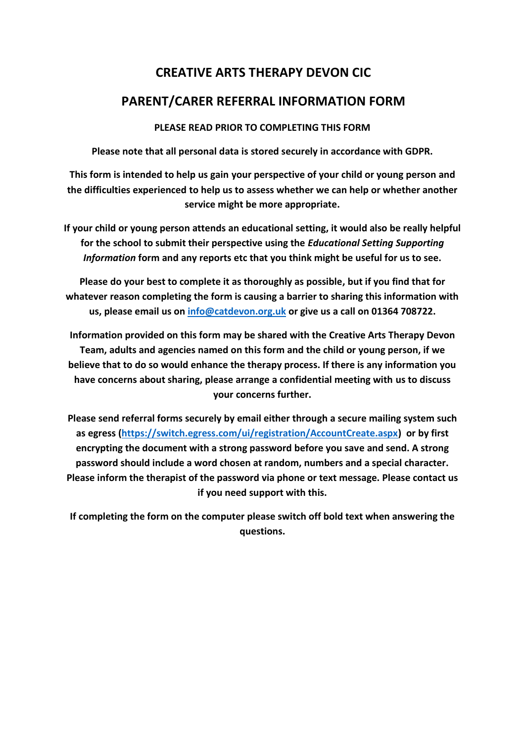## **CREATIVE ARTS THERAPY DEVON CIC**

## **PARENT/CARER REFERRAL INFORMATION FORM**

## **PLEASE READ PRIOR TO COMPLETING THIS FORM**

**Please note that all personal data is stored securely in accordance with GDPR.**

**This form is intended to help us gain your perspective of your child or young person and the difficulties experienced to help us to assess whether we can help or whether another service might be more appropriate.** 

**If your child or young person attends an educational setting, it would also be really helpful for the school to submit their perspective using the** *Educational Setting Supporting Information* **form and any reports etc that you think might be useful for us to see.** 

**Please do your best to complete it as thoroughly as possible, but if you find that for whatever reason completing the form is causing a barrier to sharing this information with us, please email us on [info@catdevon.org.uk](mailto:info@catdevon.org.uk) or give us a call on 01364 708722.**

**Information provided on this form may be shared with the Creative Arts Therapy Devon Team, adults and agencies named on this form and the child or young person, if we believe that to do so would enhance the therapy process. If there is any information you have concerns about sharing, please arrange a confidential meeting with us to discuss your concerns further.**

**Please send referral forms securely by email either through a secure mailing system such as egress [\(https://switch.egress.com/ui/registration/AccountCreate.aspx\)](https://switch.egress.com/ui/registration/AccountCreate.aspx) or by first encrypting the document with a strong password before you save and send. A strong password should include a word chosen at random, numbers and a special character. Please inform the therapist of the password via phone or text message. Please contact us if you need support with this.**

**If completing the form on the computer please switch off bold text when answering the questions.**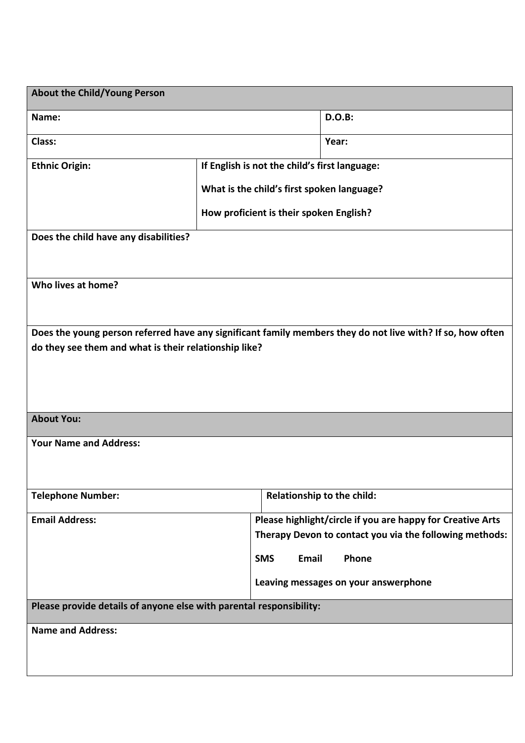| <b>About the Child/Young Person</b>                                 |                                               |       |                                                                                                            |  |
|---------------------------------------------------------------------|-----------------------------------------------|-------|------------------------------------------------------------------------------------------------------------|--|
| Name:                                                               |                                               |       | <b>D.O.B:</b>                                                                                              |  |
| Class:                                                              |                                               |       | Year:                                                                                                      |  |
| <b>Ethnic Origin:</b>                                               | If English is not the child's first language: |       |                                                                                                            |  |
|                                                                     | What is the child's first spoken language?    |       |                                                                                                            |  |
|                                                                     | How proficient is their spoken English?       |       |                                                                                                            |  |
| Does the child have any disabilities?                               |                                               |       |                                                                                                            |  |
|                                                                     |                                               |       |                                                                                                            |  |
| Who lives at home?                                                  |                                               |       |                                                                                                            |  |
|                                                                     |                                               |       |                                                                                                            |  |
|                                                                     |                                               |       | Does the young person referred have any significant family members they do not live with? If so, how often |  |
| do they see them and what is their relationship like?               |                                               |       |                                                                                                            |  |
|                                                                     |                                               |       |                                                                                                            |  |
|                                                                     |                                               |       |                                                                                                            |  |
| <b>About You:</b>                                                   |                                               |       |                                                                                                            |  |
| <b>Your Name and Address:</b>                                       |                                               |       |                                                                                                            |  |
|                                                                     |                                               |       |                                                                                                            |  |
| <b>Telephone Number:</b>                                            |                                               |       | Relationship to the child:                                                                                 |  |
| <b>Email Address:</b>                                               |                                               |       | Please highlight/circle if you are happy for Creative Arts                                                 |  |
|                                                                     |                                               |       | Therapy Devon to contact you via the following methods:                                                    |  |
|                                                                     | <b>SMS</b>                                    | Email | Phone                                                                                                      |  |
|                                                                     |                                               |       | Leaving messages on your answerphone                                                                       |  |
| Please provide details of anyone else with parental responsibility: |                                               |       |                                                                                                            |  |
| <b>Name and Address:</b>                                            |                                               |       |                                                                                                            |  |
|                                                                     |                                               |       |                                                                                                            |  |
|                                                                     |                                               |       |                                                                                                            |  |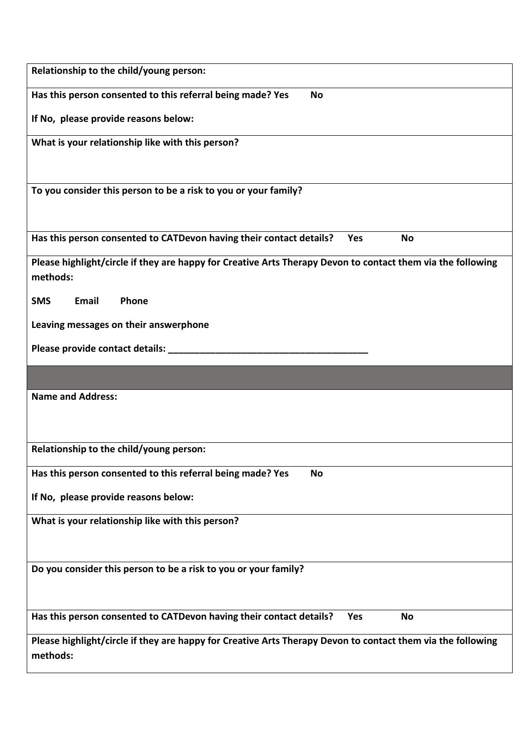| Relationship to the child/young person:                                                                                 |
|-------------------------------------------------------------------------------------------------------------------------|
| Has this person consented to this referral being made? Yes<br><b>No</b>                                                 |
| If No, please provide reasons below:                                                                                    |
| What is your relationship like with this person?                                                                        |
|                                                                                                                         |
| To you consider this person to be a risk to you or your family?                                                         |
|                                                                                                                         |
| Has this person consented to CATDevon having their contact details?<br><b>No</b><br>Yes                                 |
| Please highlight/circle if they are happy for Creative Arts Therapy Devon to contact them via the following<br>methods: |
| <b>SMS</b><br>Email<br>Phone                                                                                            |
| Leaving messages on their answerphone                                                                                   |
| Please provide contact details: __                                                                                      |
|                                                                                                                         |
| <b>Name and Address:</b>                                                                                                |
|                                                                                                                         |
| Relationship to the child/young person:                                                                                 |
| Has this person consented to this referral being made? Yes<br><b>No</b>                                                 |
|                                                                                                                         |
| If No, please provide reasons below:                                                                                    |
| What is your relationship like with this person?                                                                        |
|                                                                                                                         |
| Do you consider this person to be a risk to you or your family?                                                         |
|                                                                                                                         |
| Has this person consented to CATDevon having their contact details?<br><b>No</b><br><b>Yes</b>                          |
| Please highlight/circle if they are happy for Creative Arts Therapy Devon to contact them via the following<br>methods: |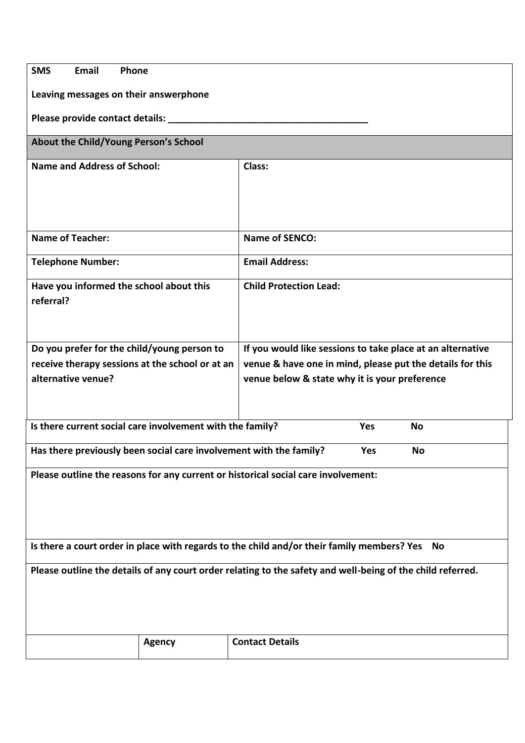| <b>SMS</b><br>Email<br>Phone                                                                               |               |                                                                                                  |
|------------------------------------------------------------------------------------------------------------|---------------|--------------------------------------------------------------------------------------------------|
| Leaving messages on their answerphone                                                                      |               |                                                                                                  |
| Please provide contact details: __                                                                         |               |                                                                                                  |
| About the Child/Young Person's School                                                                      |               |                                                                                                  |
| <b>Name and Address of School:</b>                                                                         |               | Class:                                                                                           |
|                                                                                                            |               |                                                                                                  |
|                                                                                                            |               |                                                                                                  |
|                                                                                                            |               |                                                                                                  |
| <b>Name of Teacher:</b>                                                                                    |               | <b>Name of SENCO:</b>                                                                            |
| <b>Telephone Number:</b>                                                                                   |               | <b>Email Address:</b>                                                                            |
| Have you informed the school about this                                                                    |               | <b>Child Protection Lead:</b>                                                                    |
| referral?                                                                                                  |               |                                                                                                  |
|                                                                                                            |               |                                                                                                  |
| Do you prefer for the child/young person to                                                                |               | If you would like sessions to take place at an alternative                                       |
| receive therapy sessions at the school or at an                                                            |               | venue & have one in mind, please put the details for this                                        |
| alternative venue?                                                                                         |               | venue below & state why it is your preference                                                    |
|                                                                                                            |               |                                                                                                  |
| Is there current social care involvement with the family?<br>Yes<br><b>No</b>                              |               |                                                                                                  |
| Has there previously been social care involvement with the family?<br><b>Yes</b><br><b>No</b>              |               |                                                                                                  |
|                                                                                                            |               | Please outline the reasons for any current or historical social care involvement:                |
|                                                                                                            |               |                                                                                                  |
|                                                                                                            |               |                                                                                                  |
|                                                                                                            |               |                                                                                                  |
|                                                                                                            |               | Is there a court order in place with regards to the child and/or their family members? Yes<br>No |
| Please outline the details of any court order relating to the safety and well-being of the child referred. |               |                                                                                                  |
|                                                                                                            |               |                                                                                                  |
|                                                                                                            |               |                                                                                                  |
|                                                                                                            |               |                                                                                                  |
|                                                                                                            | <b>Agency</b> | <b>Contact Details</b>                                                                           |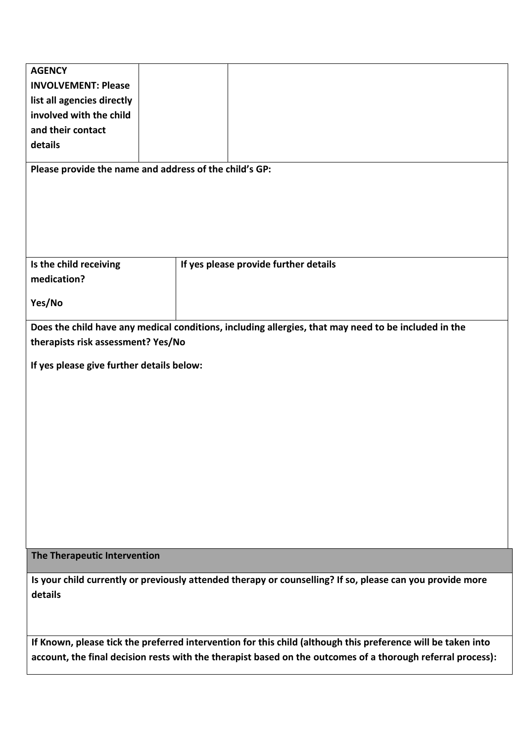| <b>AGENCY</b>                                          |                                                                                                              |
|--------------------------------------------------------|--------------------------------------------------------------------------------------------------------------|
| <b>INVOLVEMENT: Please</b>                             |                                                                                                              |
| list all agencies directly                             |                                                                                                              |
| involved with the child                                |                                                                                                              |
| and their contact                                      |                                                                                                              |
| details                                                |                                                                                                              |
|                                                        |                                                                                                              |
| Please provide the name and address of the child's GP: |                                                                                                              |
|                                                        |                                                                                                              |
|                                                        |                                                                                                              |
|                                                        |                                                                                                              |
|                                                        |                                                                                                              |
|                                                        |                                                                                                              |
| Is the child receiving                                 | If yes please provide further details                                                                        |
| medication?                                            |                                                                                                              |
|                                                        |                                                                                                              |
| Yes/No                                                 |                                                                                                              |
|                                                        | Does the child have any medical conditions, including allergies, that may need to be included in the         |
| therapists risk assessment? Yes/No                     |                                                                                                              |
|                                                        |                                                                                                              |
| If yes please give further details below:              |                                                                                                              |
|                                                        |                                                                                                              |
|                                                        |                                                                                                              |
|                                                        |                                                                                                              |
|                                                        |                                                                                                              |
|                                                        |                                                                                                              |
|                                                        |                                                                                                              |
|                                                        |                                                                                                              |
|                                                        |                                                                                                              |
|                                                        |                                                                                                              |
|                                                        |                                                                                                              |
|                                                        |                                                                                                              |
|                                                        |                                                                                                              |
| The Therapeutic Intervention                           |                                                                                                              |
|                                                        |                                                                                                              |
|                                                        | Is your child currently or previously attended therapy or counselling? If so, please can you provide more    |
| details                                                |                                                                                                              |
|                                                        |                                                                                                              |
|                                                        |                                                                                                              |
|                                                        | If Known, please tick the preferred intervention for this child (although this preference will be taken into |
|                                                        | account, the final decision rests with the therapist based on the outcomes of a thorough referral process):  |
|                                                        |                                                                                                              |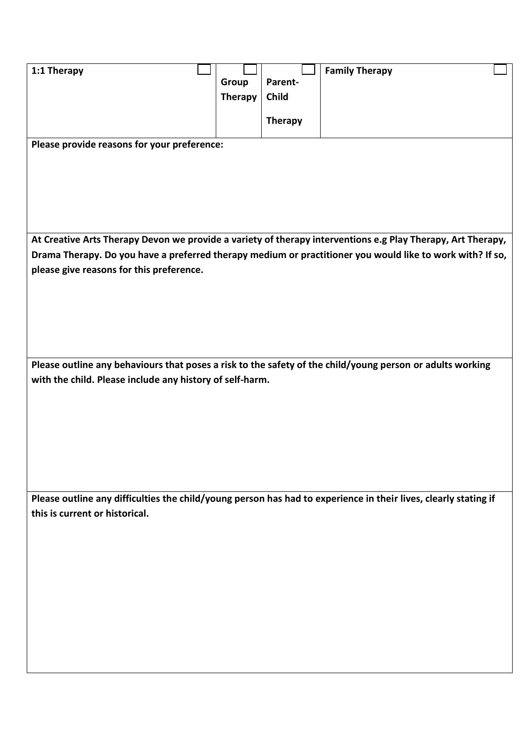| 1:1 Therapy                                                                                                     |                |                | <b>Family Therapy</b> |  |
|-----------------------------------------------------------------------------------------------------------------|----------------|----------------|-----------------------|--|
|                                                                                                                 | Group          | Parent-        |                       |  |
|                                                                                                                 | <b>Therapy</b> | <b>Child</b>   |                       |  |
|                                                                                                                 |                |                |                       |  |
|                                                                                                                 |                | <b>Therapy</b> |                       |  |
| Please provide reasons for your preference:                                                                     |                |                |                       |  |
|                                                                                                                 |                |                |                       |  |
|                                                                                                                 |                |                |                       |  |
|                                                                                                                 |                |                |                       |  |
|                                                                                                                 |                |                |                       |  |
|                                                                                                                 |                |                |                       |  |
|                                                                                                                 |                |                |                       |  |
| At Creative Arts Therapy Devon we provide a variety of therapy interventions e.g Play Therapy, Art Therapy,     |                |                |                       |  |
| Drama Therapy. Do you have a preferred therapy medium or practitioner you would like to work with? If so,       |                |                |                       |  |
| please give reasons for this preference.                                                                        |                |                |                       |  |
|                                                                                                                 |                |                |                       |  |
|                                                                                                                 |                |                |                       |  |
|                                                                                                                 |                |                |                       |  |
|                                                                                                                 |                |                |                       |  |
|                                                                                                                 |                |                |                       |  |
| Please outline any behaviours that poses a risk to the safety of the child/young person or adults working       |                |                |                       |  |
| with the child. Please include any history of self-harm.                                                        |                |                |                       |  |
|                                                                                                                 |                |                |                       |  |
|                                                                                                                 |                |                |                       |  |
|                                                                                                                 |                |                |                       |  |
|                                                                                                                 |                |                |                       |  |
|                                                                                                                 |                |                |                       |  |
|                                                                                                                 |                |                |                       |  |
|                                                                                                                 |                |                |                       |  |
|                                                                                                                 |                |                |                       |  |
| Please outline any difficulties the child/young person has had to experience in their lives, clearly stating if |                |                |                       |  |
| this is current or historical.                                                                                  |                |                |                       |  |
|                                                                                                                 |                |                |                       |  |
|                                                                                                                 |                |                |                       |  |
|                                                                                                                 |                |                |                       |  |
|                                                                                                                 |                |                |                       |  |
|                                                                                                                 |                |                |                       |  |
|                                                                                                                 |                |                |                       |  |
|                                                                                                                 |                |                |                       |  |
|                                                                                                                 |                |                |                       |  |
|                                                                                                                 |                |                |                       |  |
|                                                                                                                 |                |                |                       |  |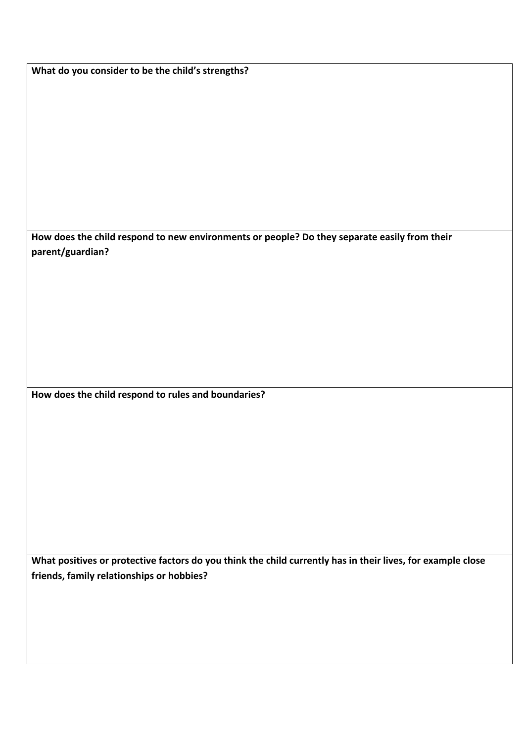**What do you consider to be the child's strengths? How does the child respond to new environments or people? Do they separate easily from their parent/guardian? How does the child respond to rules and boundaries?**

**What positives or protective factors do you think the child currently has in their lives, for example close friends, family relationships or hobbies?**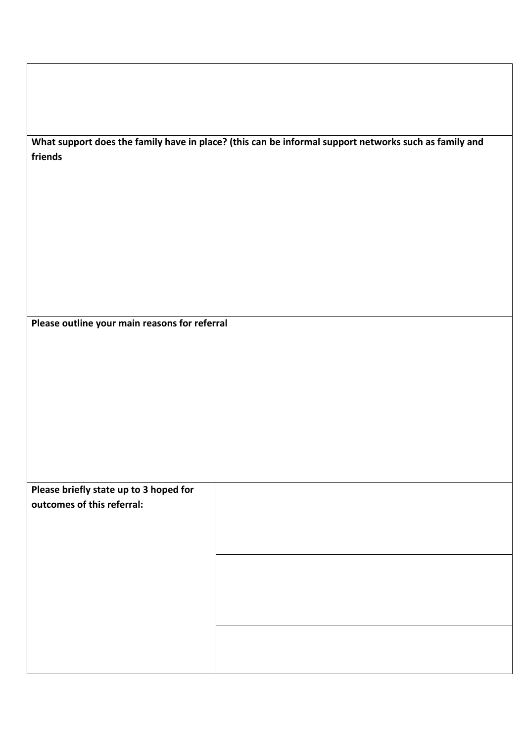| What support does the family have in place? (this can be informal support networks such as family and |  |
|-------------------------------------------------------------------------------------------------------|--|
| friends                                                                                               |  |

**Please outline your main reasons for referral**

| Please briefly state up to 3 hoped for |  |
|----------------------------------------|--|
| outcomes of this referral:             |  |
|                                        |  |
|                                        |  |
|                                        |  |
|                                        |  |
|                                        |  |
|                                        |  |
|                                        |  |
|                                        |  |
|                                        |  |